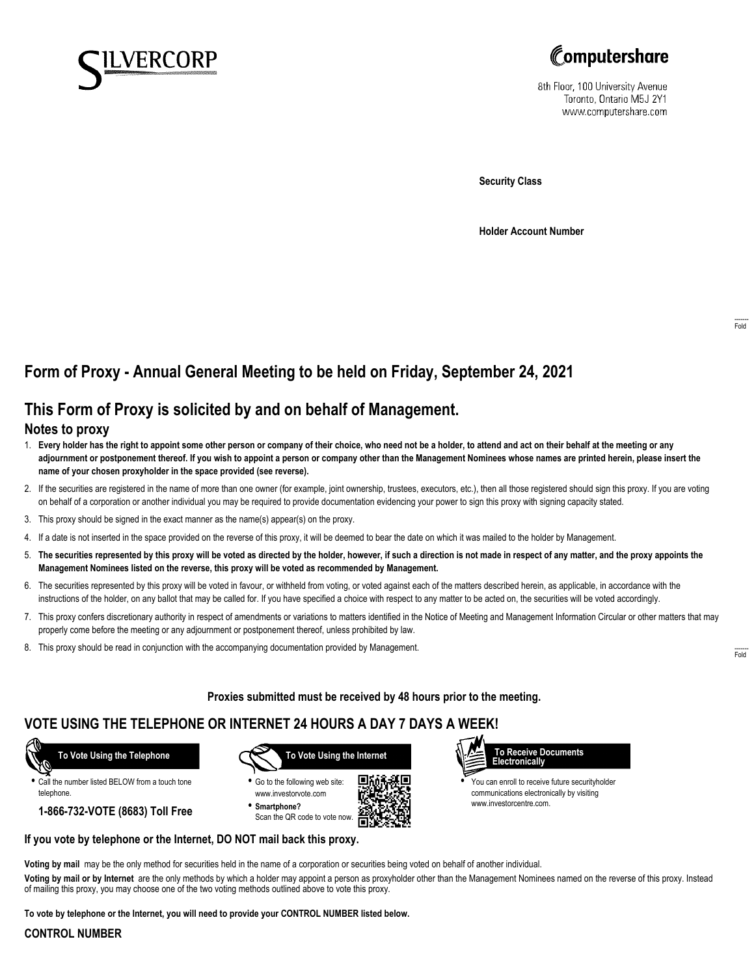



8th Floor, 100 University Avenue Toronto, Ontario M5J 2Y1 www.computershare.com

**Security Class**

**Holder Account Number**

# **Form of Proxy - Annual General Meeting to be held on Friday, September 24, 2021**

### **This Form of Proxy is solicited by and on behalf of Management.**

#### **Notes to proxy**

- 1. **Every holder has the right to appoint some other person or company of their choice, who need not be a holder, to attend and act on their behalf at the meeting or any adjournment or postponement thereof. If you wish to appoint a person or company other than the Management Nominees whose names are printed herein, please insert the name of your chosen proxyholder in the space provided (see reverse).**
- 2. If the securities are registered in the name of more than one owner (for example, joint ownership, trustees, executors, etc.), then all those registered should sign this proxy. If you are voting on behalf of a corporation or another individual you may be required to provide documentation evidencing your power to sign this proxy with signing capacity stated.
- 3. This proxy should be signed in the exact manner as the name(s) appear(s) on the proxy.
- 4. If a date is not inserted in the space provided on the reverse of this proxy, it will be deemed to bear the date on which it was mailed to the holder by Management.
- 5. **The securities represented by this proxy will be voted as directed by the holder, however, if such a direction is not made in respect of any matter, and the proxy appoints the Management Nominees listed on the reverse, this proxy will be voted as recommended by Management.**
- 6. The securities represented by this proxy will be voted in favour, or withheld from voting, or voted against each of the matters described herein, as applicable, in accordance with the instructions of the holder, on any ballot that may be called for. If you have specified a choice with respect to any matter to be acted on, the securities will be voted accordingly.
- 7. This proxy confers discretionary authority in respect of amendments or variations to matters identified in the Notice of Meeting and Management Information Circular or other matters that may properly come before the meeting or any adjournment or postponement thereof, unless prohibited by law.
- 8. This proxy should be read in conjunction with the accompanying documentation provided by Management.

**Proxies submitted must be received by 48 hours prior to the meeting.**

### **VOTE USING THE TELEPHONE OR INTERNET 24 HOURS A DAY 7 DAYS A WEEK!**



**•** Call the number listed BELOW from a touch tone telephone.

**1-866-732-VOTE (8683) Toll Free**



**•** Go to the following web site: [www.investorvote.com](http://www.investorvote.com) **• Smartphone?**

Scan the QR code to vote now.





**•** You can enroll to receive future securityholder communications electronically by visiting [www.investorcentre.com.](http://www.investorcentre.com)

# **If you vote by telephone or the Internet, DO NOT mail back this proxy.**

**Voting by mail** may be the only method for securities held in the name of a corporation or securities being voted on behalf of another individual.

**Voting by mail or by Internet** are the only methods by which a holder may appoint a person as proxyholder other than the Management Nominees named on the reverse of this proxy. Instead of mailing this proxy, you may choose one of the two voting methods outlined above to vote this proxy.

**To vote by telephone or the Internet, you will need to provide your CONTROL NUMBER listed below.**

#### **CONTROL NUMBER**